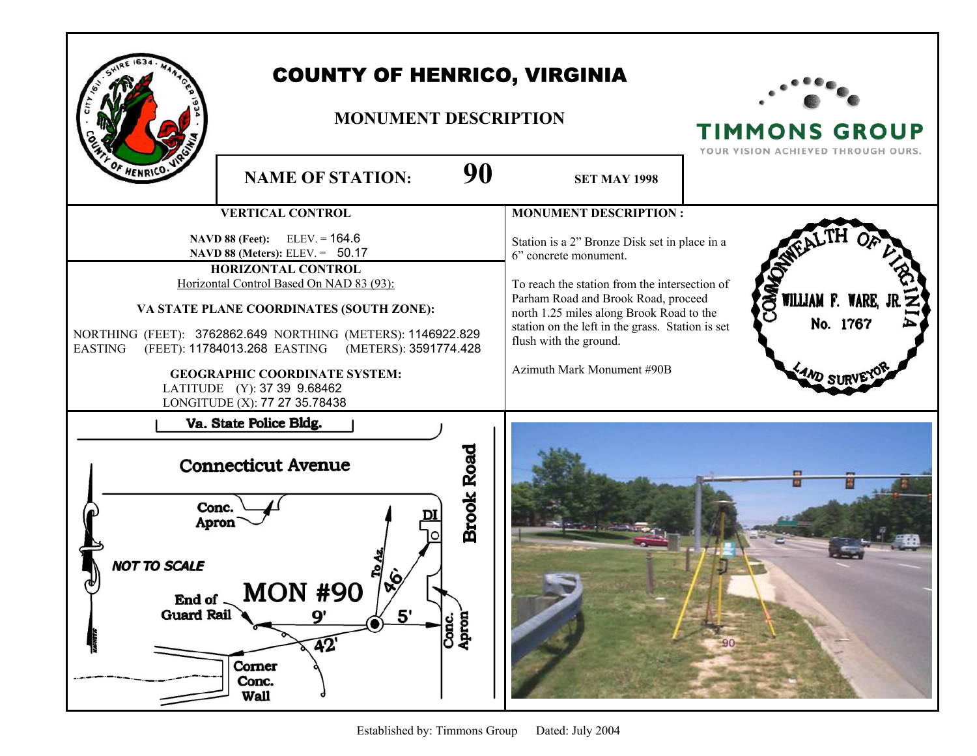| 90<br><b>NAME OF STATION:</b>                                                                                                                                                                                                                                                                                                                                                                                                                                        | <b>COUNTY OF HENRICO, VIRGINIA</b><br><b>MONUMENT DESCRIPTION</b><br><b>SET MAY 1998</b>                                                                                                                                                                                                                                                               |                                                   |
|----------------------------------------------------------------------------------------------------------------------------------------------------------------------------------------------------------------------------------------------------------------------------------------------------------------------------------------------------------------------------------------------------------------------------------------------------------------------|--------------------------------------------------------------------------------------------------------------------------------------------------------------------------------------------------------------------------------------------------------------------------------------------------------------------------------------------------------|---------------------------------------------------|
| <b>VERTICAL CONTROL</b><br><b>NAVD 88 (Feet):</b> ELEV. = $164.6$<br>NAVD 88 (Meters): ELEV. = 50.17<br>HORIZONTAL CONTROL<br>Horizontal Control Based On NAD 83 (93):<br>VA STATE PLANE COORDINATES (SOUTH ZONE):<br>NORTHING (FEET): 3762862.649 NORTHING (METERS): 1146922.829<br><b>EASTING</b><br>(FEET): 11784013.268 EASTING<br>(METERS): 3591774.428<br><b>GEOGRAPHIC COORDINATE SYSTEM:</b><br>LATITUDE (Y): 37 39 9.68462<br>LONGITUDE (X): 77 27 35.78438 | <b>MONUMENT DESCRIPTION:</b><br>Station is a 2" Bronze Disk set in place in a<br>6" concrete monument.<br>To reach the station from the intersection of<br>Parham Road and Brook Road, proceed<br>north 1.25 miles along Brook Road to the<br>station on the left in the grass. Station is set<br>flush with the ground.<br>Azimuth Mark Monument #90B | <b>SERVILLIAM F. WARE,</b><br>No. 1767<br>AND SUP |
| Va. State Police Bldg.<br><b>Brook Road</b><br><b>Connecticut Avenue</b><br>Conc.<br><b>Apron</b><br>NOT TO SCALE<br><b>MON #90</b><br>End of<br><b>Guard Rail</b><br>5'<br>9'<br>Conc.<br>Apron<br>$\overline{42}$<br>Corner<br>Conc.<br><b>Wall</b>                                                                                                                                                                                                                |                                                                                                                                                                                                                                                                                                                                                        | $-901$                                            |